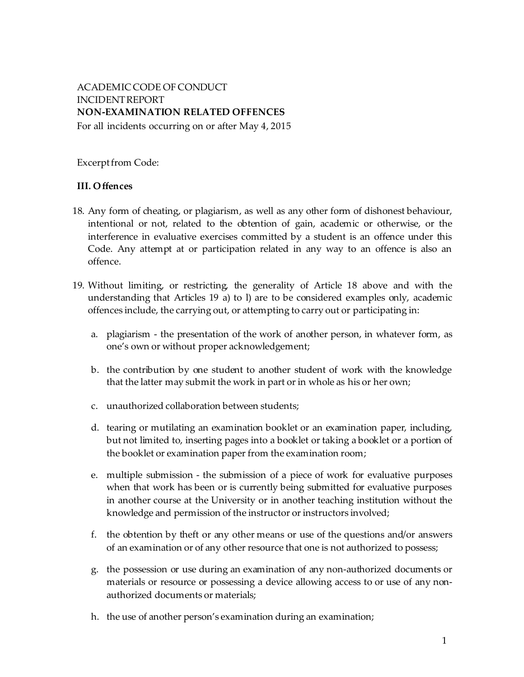# ACADEMIC CODE OF CONDUCT INCIDENTREPORT **NON-EXAMINATION RELATED OFFENCES**

For all incidents occurring on or after May 4, 2015

Excerpt from Code:

## **III. Offences**

- 18. Any form of cheating, or plagiarism, as well as any other form of dishonest behaviour, intentional or not, related to the obtention of gain, academic or otherwise, or the interference in evaluative exercises committed by a student is an offence under this Code. Any attempt at or participation related in any way to an offence is also an offence.
- 19. Without limiting, or restricting, the generality of Article 18 above and with the understanding that Articles 19 a) to l) are to be considered examples only, academic offences include, the carrying out, or attempting to carry out or participating in:
	- a. plagiarism the presentation of the work of another person, in whatever form, as one's own or without proper acknowledgement;
	- b. the contribution by one student to another student of work with the knowledge that the latter may submit the work in part or in whole as his or her own;
	- c. unauthorized collaboration between students;
	- d. tearing or mutilating an examination booklet or an examination paper, including, but not limited to, inserting pages into a booklet or taking a booklet or a portion of the booklet or examination paper from the examination room;
	- e. multiple submission the submission of a piece of work for evaluative purposes when that work has been or is currently being submitted for evaluative purposes in another course at the University or in another teaching institution without the knowledge and permission of the instructor or instructors involved;
	- f. the obtention by theft or any other means or use of the questions and/or answers of an examination or of any other resource that one is not authorized to possess;
	- g. the possession or use during an examination of any non-authorized documents or materials or resource or possessing a device allowing access to or use of any nonauthorized documents or materials;
	- h. the use of another person's examination during an examination;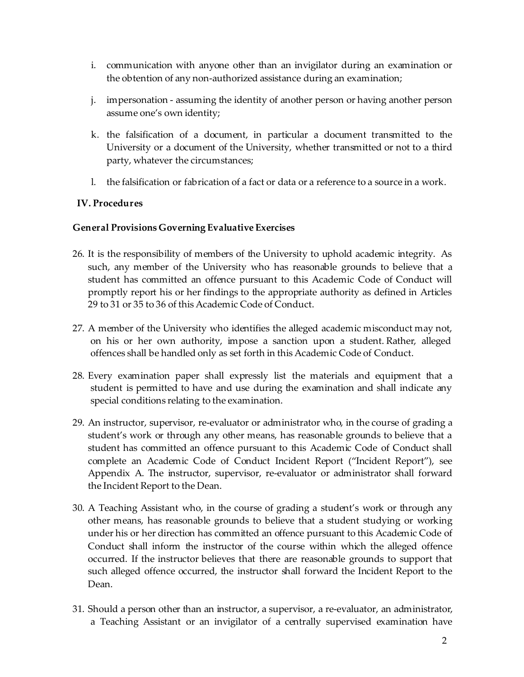- i. communication with anyone other than an invigilator during an examination or the obtention of any non-authorized assistance during an examination;
- j. impersonation assuming the identity of another person or having another person assume one's own identity;
- k. the falsification of a document, in particular a document transmitted to the University or a document of the University, whether transmitted or not to a third party, whatever the circumstances;
- l. the falsification or fabrication of a fact or data or a reference to a source in a work.

### **IV. Procedures**

#### **General Provisions Governing Evaluative Exercises**

- 26. It is the responsibility of members of the University to uphold academic integrity. As such, any member of the University who has reasonable grounds to believe that a student has committed an offence pursuant to this Academic Code of Conduct will promptly report his or her findings to the appropriate authority as defined in Articles 29 to 31 or 35 to 36 of this Academic Code of Conduct.
- 27. A member of the University who identifies the alleged academic misconduct may not, on his or her own authority, impose a sanction upon a student. Rather, alleged offences shall be handled only as set forth in this Academic Code of Conduct.
- 28. Every examination paper shall expressly list the materials and equipment that a student is permitted to have and use during the examination and shall indicate any special conditions relating to the examination.
- 29. An instructor, supervisor, re-evaluator or administrator who, in the course of grading a student's work or through any other means, has reasonable grounds to believe that a student has committed an offence pursuant to this Academic Code of Conduct shall complete an Academic Code of Conduct Incident Report ("Incident Report"), see Appendix A. The instructor, supervisor, re-evaluator or administrator shall forward the Incident Report to the Dean.
- 30. A Teaching Assistant who, in the course of grading a student's work or through any other means, has reasonable grounds to believe that a student studying or working under his or her direction has committed an offence pursuant to this Academic Code of Conduct shall inform the instructor of the course within which the alleged offence occurred. If the instructor believes that there are reasonable grounds to support that such alleged offence occurred, the instructor shall forward the Incident Report to the Dean.
- 31. Should a person other than an instructor, a supervisor, a re-evaluator, an administrator, a Teaching Assistant or an invigilator of a centrally supervised examination have